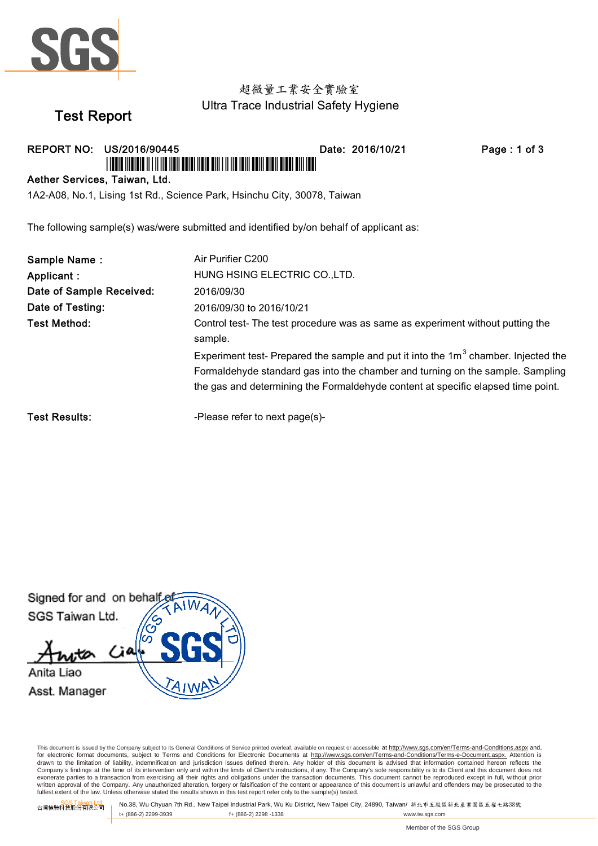

## 超微量工業安全實驗室 Ultra Trace Industrial Safety Hygiene

# **Test Report**

REPORT NO: US/2016/90445 AIN IIINININ II I II IIN IINII ANIMI IININ NIII I II IIN INIII NUITI AINII NINN NIIN

Date: 2016/10/21

Page: 1 of 3

#### Aether Services, Taiwan, Ltd.

1A2-A08, No.1, Lising 1st Rd., Science Park, Hsinchu City, 30078, Taiwan

The following sample(s) was/were submitted and identified by/on behalf of applicant as:

| Sample Name:             | Air Purifier C200                                                                                                                                                                                                                                          |
|--------------------------|------------------------------------------------------------------------------------------------------------------------------------------------------------------------------------------------------------------------------------------------------------|
| Applicant :              | HUNG HSING ELECTRIC CO., LTD.                                                                                                                                                                                                                              |
| Date of Sample Received: | 2016/09/30                                                                                                                                                                                                                                                 |
| Date of Testing:         | 2016/09/30 to 2016/10/21                                                                                                                                                                                                                                   |
| Test Method:             | Control test-The test procedure was as same as experiment without putting the<br>sample.                                                                                                                                                                   |
|                          | Experiment test- Prepared the sample and put it into the $1m3$ chamber. Injected the<br>Formaldehyde standard gas into the chamber and turning on the sample. Sampling<br>the gas and determining the Formaldehyde content at specific elapsed time point. |

**Test Results:** 

-Please refer to next page(s)-

Signed for and on behalf SGS Taiwan Ltd. Anita Liao Asst. Manager

This document is issued by the Company subject to its General Conditions of Service printed overleaf, available on request or accessible at http://www.sgs.com/en/Terms-and-Conditions.aspx and, for electronic format documents, subject to Terms and Conditions for Electronic Documents at http://www.sgs.com/en/Terms-and-Conditions/Terms-e-Document.aspx. Attention is or exponential contract over the limit of contract of the limits of Client's instructions, if any. The Company's sole responsibility is to its Client and this document to a divised that information contained hereon reflect exonerate parties to a transaction from exercising all their rights and obligations under the transaction documents. This document cannot be reproduced except in full, without prior whiten approval of the Company. Any unauthorized alteration, forgery or falsification of the content or appearance of this document is unlawful and offenders may be prosecuted to the fullest extent of the Company. Any unau

SGS Taiwan Ltd.<br>台灣檢驗科技股份有限公司

No.38, Wu Chyuan 7th Rd., New Taipei Industrial Park, Wu Ku District, New Taipei City, 24890, Taiwan/新北市五股區新北產業園區五權七路38號 t+ (886-2) 2299-3939 f+ (886-2) 2298 -1338 www.tw.sgs.com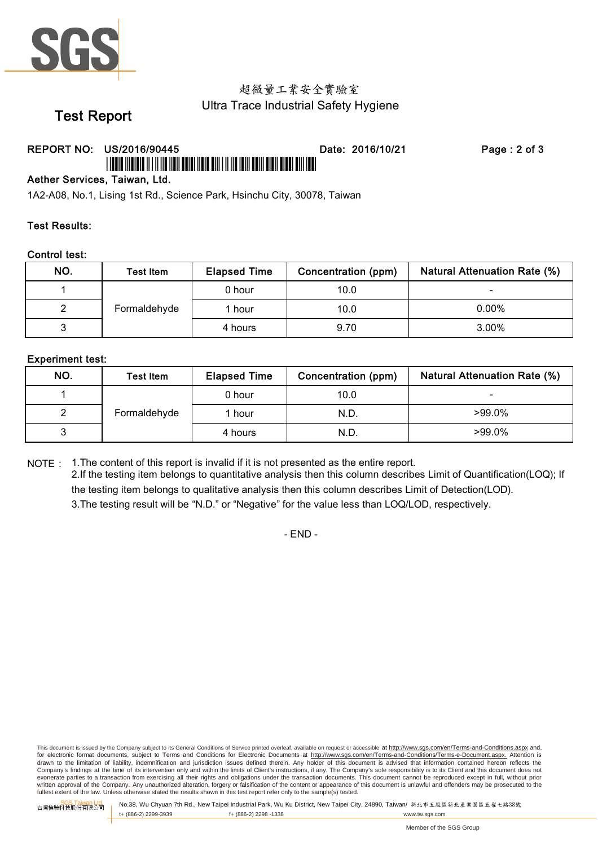

## 超微量工業安全實驗室 Ultra Trace Industrial Safety Hygiene

# **Test Report**

## REPORT NO: US/2016/90445

Date: 2016/10/21

Page: 2 of 3

#### Aether Services, Taiwan, Ltd.

1A2-A08, No.1, Lising 1st Rd., Science Park, Hsinchu City, 30078, Taiwan

#### **Test Results:**

#### **Control test:**

| NO. | Test Item    | <b>Elapsed Time</b> | Concentration (ppm) | <b>Natural Attenuation Rate (%)</b> |
|-----|--------------|---------------------|---------------------|-------------------------------------|
|     | Formaldehyde | 0 hour              | 10.0                | -                                   |
|     |              | 1 hour              | 10.0                | $0.00\%$                            |
|     |              | 4 hours             | 9.70                | $3.00\%$                            |

#### **Experiment test:**

| NO. | <b>Test Item</b> | <b>Elapsed Time</b> | Concentration (ppm) | <b>Natural Attenuation Rate (%)</b> |
|-----|------------------|---------------------|---------------------|-------------------------------------|
|     | Formaldehyde     | 0 hour              | 10.0                |                                     |
|     |                  | 1 hour              | N.D.                | $>99.0\%$                           |
|     |                  | 4 hours             | N.D.                | $>99.0\%$                           |

NOTE: 1. The content of this report is invalid if it is not presented as the entire report.

2.If the testing item belongs to quantitative analysis then this column describes Limit of Quantification(LOQ); If the testing item belongs to qualitative analysis then this column describes Limit of Detection(LOD). 3. The testing result will be "N.D." or "Negative" for the value less than LOQ/LOD, respectively.

 $- FND -$ 

This document is issued by the Company subject to its General Conditions of Service printed overleaf, available on request or accessible at http://www.sqs.com/en/Terms-and-Conditions.aspx and. for electronic format documents, subject to Terms and Conditions for Electronic Documents at http://www.sgs.com/en/Terms-and-Conditions/Terms-e-Document.aspx. Attention is or exponential contract over the limit of contract of the limits of Client's instructions, if any. The Company's sole responsibility is to its Client and this document to a divised that information contained hereon reflect exonerate parties to a transaction from exercising all their rights and obligations under the transaction documents. This document cannot be reproduced except in full, without prior whiten approval of the Company. Any unauthorized alteration, forgery or falsification of the content or appearance of this document is unlawful and offenders may be prosecuted to the fullest extent of the Company. Any unau